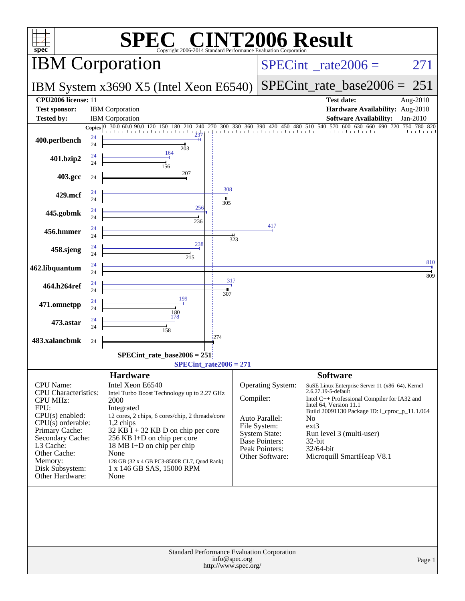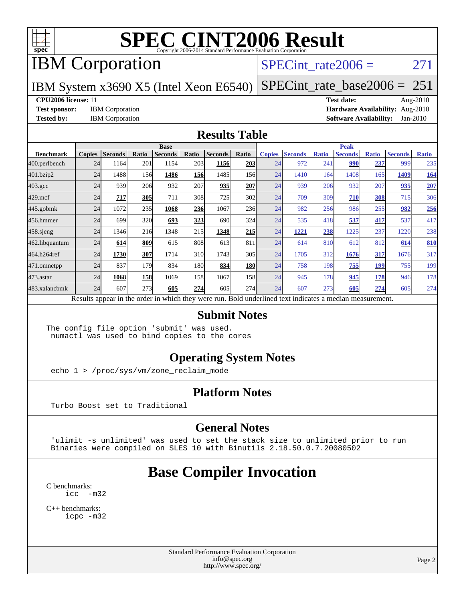

# IBM Corporation

### SPECint rate $2006 = 271$

IBM System x3690 X5 (Intel Xeon E6540)

[SPECint\\_rate\\_base2006 =](http://www.spec.org/auto/cpu2006/Docs/result-fields.html#SPECintratebase2006) 251

#### **[CPU2006 license:](http://www.spec.org/auto/cpu2006/Docs/result-fields.html#CPU2006license)** 11 **[Test date:](http://www.spec.org/auto/cpu2006/Docs/result-fields.html#Testdate)** Aug-2010

**[Test sponsor:](http://www.spec.org/auto/cpu2006/Docs/result-fields.html#Testsponsor)** IBM Corporation **[Hardware Availability:](http://www.spec.org/auto/cpu2006/Docs/result-fields.html#HardwareAvailability)** Aug-2010 **[Tested by:](http://www.spec.org/auto/cpu2006/Docs/result-fields.html#Testedby)** IBM Corporation **[Software Availability:](http://www.spec.org/auto/cpu2006/Docs/result-fields.html#SoftwareAvailability)** Jan-2010

#### **[Results Table](http://www.spec.org/auto/cpu2006/Docs/result-fields.html#ResultsTable)**

|                  | <b>Base</b>   |                |       |                                                                                                          |            |                |            | <b>Peak</b>   |                |              |                |              |                |              |
|------------------|---------------|----------------|-------|----------------------------------------------------------------------------------------------------------|------------|----------------|------------|---------------|----------------|--------------|----------------|--------------|----------------|--------------|
| <b>Benchmark</b> | <b>Copies</b> | <b>Seconds</b> | Ratio | <b>Seconds</b>                                                                                           | Ratio      | <b>Seconds</b> | Ratio      | <b>Copies</b> | <b>Seconds</b> | <b>Ratio</b> | <b>Seconds</b> | <b>Ratio</b> | <b>Seconds</b> | <b>Ratio</b> |
| 400.perlbench    | 24            | 1164           | 201   | 1154                                                                                                     | 203        | 1156           | 203        | 24            | 972            | 241          | 990            | 237          | 999            | 235          |
| 401.bzip2        | 24            | 1488           | 156   | 1486                                                                                                     | <b>156</b> | 1485           | <b>156</b> | 24            | 1410           | 164          | 1408           | 165          | 1409           | <u>164</u>   |
| $403.\text{gcc}$ | 24            | 939            | 206   | 932                                                                                                      | 207        | 935            | 207        | 24            | 939            | 206          | 932            | 207          | 935            | <b>207</b>   |
| $429$ .mcf       | 24            | 717            | 305   | 711                                                                                                      | 308        | 725            | 302        | 24            | 709            | 309          | 710            | 308          | 715            | 306          |
| $445$ .gobm $k$  | 24            | 1072           | 235   | 1068                                                                                                     | 236        | 1067           | 236        | 24            | 982            | 256          | 986            | 255          | 982            | 256          |
| 456.hmmer        | 24            | 699            | 320   | 693                                                                                                      | 323        | 690            | 324        | 24            | 535            | 418          | 537            | 417          | 537            | 417          |
| $458$ .sjeng     | 24            | 1346           | 216   | 1348                                                                                                     | 215        | 1348           | 215        | 24            | 1221           | 238          | 1225           | 237          | 1220           | 238          |
| 462.libquantum   | 24            | 614            | 809   | 615                                                                                                      | 808        | 613            | 811        | 24            | 614            | 810          | 612            | 812          | 614            | 810          |
| 464.h264ref      | 24            | 1730           | 307   | 1714                                                                                                     | 310        | 1743           | 305        | 24            | 1705           | 312          | 1676           | 317          | 1676           | 317          |
| 471.omnetpp      | 24            | 837            | 179   | 834                                                                                                      | 180        | 834            | <b>180</b> | 24            | 758            | 198          | 755            | <u>199</u>   | 755            | 199          |
| $473$ . astar    | 24            | 1068           | 158   | 1069                                                                                                     | 158        | 1067           | 158        | 24            | 945            | 178          | 945            | 178          | 946            | 178          |
| 483.xalancbmk    | 24            | 607            | 273   | 605                                                                                                      | 274        | 605            | 274        | 24            | 607            | 273          | 605            | 274          | 605            | 274          |
|                  |               |                |       | Results appear in the order in which they were run. Bold underlined text indicates a median measurement. |            |                |            |               |                |              |                |              |                |              |

#### **[Submit Notes](http://www.spec.org/auto/cpu2006/Docs/result-fields.html#SubmitNotes)**

The config file option 'submit' was used. numactl was used to bind copies to the cores

### **[Operating System Notes](http://www.spec.org/auto/cpu2006/Docs/result-fields.html#OperatingSystemNotes)**

echo 1 > /proc/sys/vm/zone\_reclaim\_mode

### **[Platform Notes](http://www.spec.org/auto/cpu2006/Docs/result-fields.html#PlatformNotes)**

Turbo Boost set to Traditional

### **[General Notes](http://www.spec.org/auto/cpu2006/Docs/result-fields.html#GeneralNotes)**

 'ulimit -s unlimited' was used to set the stack size to unlimited prior to run Binaries were compiled on SLES 10 with Binutils 2.18.50.0.7.20080502

## **[Base Compiler Invocation](http://www.spec.org/auto/cpu2006/Docs/result-fields.html#BaseCompilerInvocation)**

[C benchmarks](http://www.spec.org/auto/cpu2006/Docs/result-fields.html#Cbenchmarks): [icc -m32](http://www.spec.org/cpu2006/results/res2010q3/cpu2006-20100831-13130.flags.html#user_CCbase_intel_icc_32bit_5ff4a39e364c98233615fdd38438c6f2)

[C++ benchmarks:](http://www.spec.org/auto/cpu2006/Docs/result-fields.html#CXXbenchmarks) [icpc -m32](http://www.spec.org/cpu2006/results/res2010q3/cpu2006-20100831-13130.flags.html#user_CXXbase_intel_icpc_32bit_4e5a5ef1a53fd332b3c49e69c3330699)

> Standard Performance Evaluation Corporation [info@spec.org](mailto:info@spec.org) <http://www.spec.org/>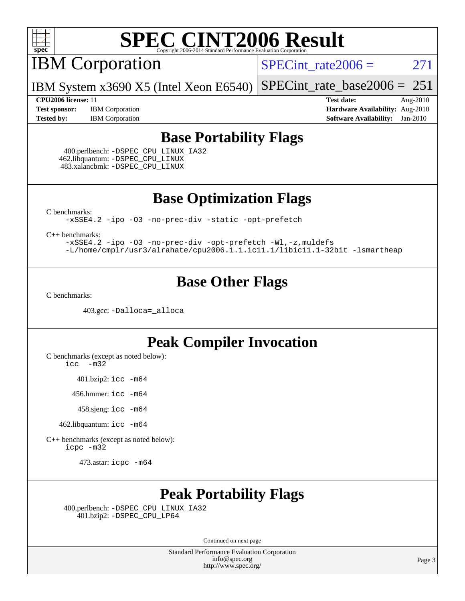

IBM Corporation

 $SPECTnt_rate2006 = 271$ 

IBM System x3690 X5 (Intel Xeon E6540) [SPECint\\_rate\\_base2006 =](http://www.spec.org/auto/cpu2006/Docs/result-fields.html#SPECintratebase2006)  $251$ 

**[Test sponsor:](http://www.spec.org/auto/cpu2006/Docs/result-fields.html#Testsponsor)** IBM Corporation **[Hardware Availability:](http://www.spec.org/auto/cpu2006/Docs/result-fields.html#HardwareAvailability)** Aug-2010 **[Tested by:](http://www.spec.org/auto/cpu2006/Docs/result-fields.html#Testedby)** IBM Corporation **[Software Availability:](http://www.spec.org/auto/cpu2006/Docs/result-fields.html#SoftwareAvailability)** Jan-2010

**[CPU2006 license:](http://www.spec.org/auto/cpu2006/Docs/result-fields.html#CPU2006license)** 11 **[Test date:](http://www.spec.org/auto/cpu2006/Docs/result-fields.html#Testdate)** Aug-2010

## **[Base Portability Flags](http://www.spec.org/auto/cpu2006/Docs/result-fields.html#BasePortabilityFlags)**

 400.perlbench: [-DSPEC\\_CPU\\_LINUX\\_IA32](http://www.spec.org/cpu2006/results/res2010q3/cpu2006-20100831-13130.flags.html#b400.perlbench_baseCPORTABILITY_DSPEC_CPU_LINUX_IA32) 462.libquantum: [-DSPEC\\_CPU\\_LINUX](http://www.spec.org/cpu2006/results/res2010q3/cpu2006-20100831-13130.flags.html#b462.libquantum_baseCPORTABILITY_DSPEC_CPU_LINUX) 483.xalancbmk: [-DSPEC\\_CPU\\_LINUX](http://www.spec.org/cpu2006/results/res2010q3/cpu2006-20100831-13130.flags.html#b483.xalancbmk_baseCXXPORTABILITY_DSPEC_CPU_LINUX)

**[Base Optimization Flags](http://www.spec.org/auto/cpu2006/Docs/result-fields.html#BaseOptimizationFlags)**

[C benchmarks](http://www.spec.org/auto/cpu2006/Docs/result-fields.html#Cbenchmarks):

[-xSSE4.2](http://www.spec.org/cpu2006/results/res2010q3/cpu2006-20100831-13130.flags.html#user_CCbase_f-xSSE42_f91528193cf0b216347adb8b939d4107) [-ipo](http://www.spec.org/cpu2006/results/res2010q3/cpu2006-20100831-13130.flags.html#user_CCbase_f-ipo) [-O3](http://www.spec.org/cpu2006/results/res2010q3/cpu2006-20100831-13130.flags.html#user_CCbase_f-O3) [-no-prec-div](http://www.spec.org/cpu2006/results/res2010q3/cpu2006-20100831-13130.flags.html#user_CCbase_f-no-prec-div) [-static](http://www.spec.org/cpu2006/results/res2010q3/cpu2006-20100831-13130.flags.html#user_CCbase_f-static) [-opt-prefetch](http://www.spec.org/cpu2006/results/res2010q3/cpu2006-20100831-13130.flags.html#user_CCbase_f-opt-prefetch)

[C++ benchmarks:](http://www.spec.org/auto/cpu2006/Docs/result-fields.html#CXXbenchmarks)

[-xSSE4.2](http://www.spec.org/cpu2006/results/res2010q3/cpu2006-20100831-13130.flags.html#user_CXXbase_f-xSSE42_f91528193cf0b216347adb8b939d4107) [-ipo](http://www.spec.org/cpu2006/results/res2010q3/cpu2006-20100831-13130.flags.html#user_CXXbase_f-ipo) [-O3](http://www.spec.org/cpu2006/results/res2010q3/cpu2006-20100831-13130.flags.html#user_CXXbase_f-O3) [-no-prec-div](http://www.spec.org/cpu2006/results/res2010q3/cpu2006-20100831-13130.flags.html#user_CXXbase_f-no-prec-div) [-opt-prefetch](http://www.spec.org/cpu2006/results/res2010q3/cpu2006-20100831-13130.flags.html#user_CXXbase_f-opt-prefetch) [-Wl,-z,muldefs](http://www.spec.org/cpu2006/results/res2010q3/cpu2006-20100831-13130.flags.html#user_CXXbase_link_force_multiple1_74079c344b956b9658436fd1b6dd3a8a) [-L/home/cmplr/usr3/alrahate/cpu2006.1.1.ic11.1/libic11.1-32bit -lsmartheap](http://www.spec.org/cpu2006/results/res2010q3/cpu2006-20100831-13130.flags.html#user_CXXbase_SmartHeap_d86dffe4a79b79ef8890d5cce17030c3)

## **[Base Other Flags](http://www.spec.org/auto/cpu2006/Docs/result-fields.html#BaseOtherFlags)**

[C benchmarks](http://www.spec.org/auto/cpu2006/Docs/result-fields.html#Cbenchmarks):

403.gcc: [-Dalloca=\\_alloca](http://www.spec.org/cpu2006/results/res2010q3/cpu2006-20100831-13130.flags.html#b403.gcc_baseEXTRA_CFLAGS_Dalloca_be3056838c12de2578596ca5467af7f3)

## **[Peak Compiler Invocation](http://www.spec.org/auto/cpu2006/Docs/result-fields.html#PeakCompilerInvocation)**

[C benchmarks \(except as noted below\)](http://www.spec.org/auto/cpu2006/Docs/result-fields.html#Cbenchmarksexceptasnotedbelow):

[icc -m32](http://www.spec.org/cpu2006/results/res2010q3/cpu2006-20100831-13130.flags.html#user_CCpeak_intel_icc_32bit_5ff4a39e364c98233615fdd38438c6f2)

401.bzip2: [icc -m64](http://www.spec.org/cpu2006/results/res2010q3/cpu2006-20100831-13130.flags.html#user_peakCCLD401_bzip2_intel_icc_64bit_bda6cc9af1fdbb0edc3795bac97ada53)

456.hmmer: [icc -m64](http://www.spec.org/cpu2006/results/res2010q3/cpu2006-20100831-13130.flags.html#user_peakCCLD456_hmmer_intel_icc_64bit_bda6cc9af1fdbb0edc3795bac97ada53)

458.sjeng: [icc -m64](http://www.spec.org/cpu2006/results/res2010q3/cpu2006-20100831-13130.flags.html#user_peakCCLD458_sjeng_intel_icc_64bit_bda6cc9af1fdbb0edc3795bac97ada53)

462.libquantum: [icc -m64](http://www.spec.org/cpu2006/results/res2010q3/cpu2006-20100831-13130.flags.html#user_peakCCLD462_libquantum_intel_icc_64bit_bda6cc9af1fdbb0edc3795bac97ada53)

[C++ benchmarks \(except as noted below\):](http://www.spec.org/auto/cpu2006/Docs/result-fields.html#CXXbenchmarksexceptasnotedbelow) [icpc -m32](http://www.spec.org/cpu2006/results/res2010q3/cpu2006-20100831-13130.flags.html#user_CXXpeak_intel_icpc_32bit_4e5a5ef1a53fd332b3c49e69c3330699)

473.astar: [icpc -m64](http://www.spec.org/cpu2006/results/res2010q3/cpu2006-20100831-13130.flags.html#user_peakCXXLD473_astar_intel_icpc_64bit_fc66a5337ce925472a5c54ad6a0de310)

## **[Peak Portability Flags](http://www.spec.org/auto/cpu2006/Docs/result-fields.html#PeakPortabilityFlags)**

 400.perlbench: [-DSPEC\\_CPU\\_LINUX\\_IA32](http://www.spec.org/cpu2006/results/res2010q3/cpu2006-20100831-13130.flags.html#b400.perlbench_peakCPORTABILITY_DSPEC_CPU_LINUX_IA32) 401.bzip2: [-DSPEC\\_CPU\\_LP64](http://www.spec.org/cpu2006/results/res2010q3/cpu2006-20100831-13130.flags.html#suite_peakCPORTABILITY401_bzip2_DSPEC_CPU_LP64)

Continued on next page

Standard Performance Evaluation Corporation [info@spec.org](mailto:info@spec.org) <http://www.spec.org/>

Page 3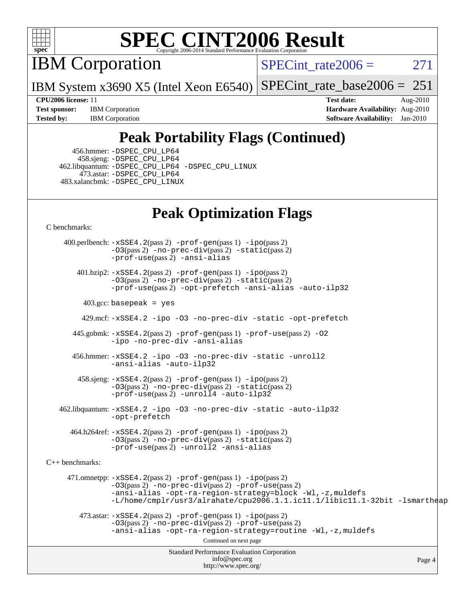

IBM Corporation

SPECint rate $2006 = 271$ 

IBM System x3690 X5 (Intel Xeon E6540) [SPECint\\_rate\\_base2006 =](http://www.spec.org/auto/cpu2006/Docs/result-fields.html#SPECintratebase2006) 251

**[Tested by:](http://www.spec.org/auto/cpu2006/Docs/result-fields.html#Testedby)** IBM Corporation **[Software Availability:](http://www.spec.org/auto/cpu2006/Docs/result-fields.html#SoftwareAvailability)** Jan-2010

**[CPU2006 license:](http://www.spec.org/auto/cpu2006/Docs/result-fields.html#CPU2006license)** 11 **[Test date:](http://www.spec.org/auto/cpu2006/Docs/result-fields.html#Testdate)** Aug-2010 **[Test sponsor:](http://www.spec.org/auto/cpu2006/Docs/result-fields.html#Testsponsor)** IBM Corporation **[Hardware Availability:](http://www.spec.org/auto/cpu2006/Docs/result-fields.html#HardwareAvailability)** Aug-2010

## **[Peak Portability Flags \(Continued\)](http://www.spec.org/auto/cpu2006/Docs/result-fields.html#PeakPortabilityFlags)**

 456.hmmer: [-DSPEC\\_CPU\\_LP64](http://www.spec.org/cpu2006/results/res2010q3/cpu2006-20100831-13130.flags.html#suite_peakCPORTABILITY456_hmmer_DSPEC_CPU_LP64) 458.sjeng: [-DSPEC\\_CPU\\_LP64](http://www.spec.org/cpu2006/results/res2010q3/cpu2006-20100831-13130.flags.html#suite_peakCPORTABILITY458_sjeng_DSPEC_CPU_LP64) 462.libquantum: [-DSPEC\\_CPU\\_LP64](http://www.spec.org/cpu2006/results/res2010q3/cpu2006-20100831-13130.flags.html#suite_peakCPORTABILITY462_libquantum_DSPEC_CPU_LP64) [-DSPEC\\_CPU\\_LINUX](http://www.spec.org/cpu2006/results/res2010q3/cpu2006-20100831-13130.flags.html#b462.libquantum_peakCPORTABILITY_DSPEC_CPU_LINUX) 473.astar: [-DSPEC\\_CPU\\_LP64](http://www.spec.org/cpu2006/results/res2010q3/cpu2006-20100831-13130.flags.html#suite_peakCXXPORTABILITY473_astar_DSPEC_CPU_LP64) 483.xalancbmk: [-DSPEC\\_CPU\\_LINUX](http://www.spec.org/cpu2006/results/res2010q3/cpu2006-20100831-13130.flags.html#b483.xalancbmk_peakCXXPORTABILITY_DSPEC_CPU_LINUX)

## **[Peak Optimization Flags](http://www.spec.org/auto/cpu2006/Docs/result-fields.html#PeakOptimizationFlags)**

[C benchmarks](http://www.spec.org/auto/cpu2006/Docs/result-fields.html#Cbenchmarks):

Standard Performance Evaluation Corporation [info@spec.org](mailto:info@spec.org) <http://www.spec.org/> Page 4 400.perlbench: [-xSSE4.2](http://www.spec.org/cpu2006/results/res2010q3/cpu2006-20100831-13130.flags.html#user_peakPASS2_CFLAGSPASS2_LDCFLAGS400_perlbench_f-xSSE42_f91528193cf0b216347adb8b939d4107)(pass 2) [-prof-gen](http://www.spec.org/cpu2006/results/res2010q3/cpu2006-20100831-13130.flags.html#user_peakPASS1_CFLAGSPASS1_LDCFLAGS400_perlbench_prof_gen_e43856698f6ca7b7e442dfd80e94a8fc)(pass 1) [-ipo](http://www.spec.org/cpu2006/results/res2010q3/cpu2006-20100831-13130.flags.html#user_peakPASS2_CFLAGSPASS2_LDCFLAGS400_perlbench_f-ipo)(pass 2) [-O3](http://www.spec.org/cpu2006/results/res2010q3/cpu2006-20100831-13130.flags.html#user_peakPASS2_CFLAGSPASS2_LDCFLAGS400_perlbench_f-O3)(pass 2) [-no-prec-div](http://www.spec.org/cpu2006/results/res2010q3/cpu2006-20100831-13130.flags.html#user_peakPASS2_CFLAGSPASS2_LDCFLAGS400_perlbench_f-no-prec-div)(pass 2) [-static](http://www.spec.org/cpu2006/results/res2010q3/cpu2006-20100831-13130.flags.html#user_peakPASS2_CFLAGSPASS2_LDCFLAGS400_perlbench_f-static)(pass 2) [-prof-use](http://www.spec.org/cpu2006/results/res2010q3/cpu2006-20100831-13130.flags.html#user_peakPASS2_CFLAGSPASS2_LDCFLAGS400_perlbench_prof_use_bccf7792157ff70d64e32fe3e1250b55)(pass 2) [-ansi-alias](http://www.spec.org/cpu2006/results/res2010q3/cpu2006-20100831-13130.flags.html#user_peakCOPTIMIZE400_perlbench_f-ansi-alias) 401.bzip2: [-xSSE4.2](http://www.spec.org/cpu2006/results/res2010q3/cpu2006-20100831-13130.flags.html#user_peakPASS2_CFLAGSPASS2_LDCFLAGS401_bzip2_f-xSSE42_f91528193cf0b216347adb8b939d4107)(pass 2) [-prof-gen](http://www.spec.org/cpu2006/results/res2010q3/cpu2006-20100831-13130.flags.html#user_peakPASS1_CFLAGSPASS1_LDCFLAGS401_bzip2_prof_gen_e43856698f6ca7b7e442dfd80e94a8fc)(pass 1) [-ipo](http://www.spec.org/cpu2006/results/res2010q3/cpu2006-20100831-13130.flags.html#user_peakPASS2_CFLAGSPASS2_LDCFLAGS401_bzip2_f-ipo)(pass 2) [-O3](http://www.spec.org/cpu2006/results/res2010q3/cpu2006-20100831-13130.flags.html#user_peakPASS2_CFLAGSPASS2_LDCFLAGS401_bzip2_f-O3)(pass 2) [-no-prec-div](http://www.spec.org/cpu2006/results/res2010q3/cpu2006-20100831-13130.flags.html#user_peakPASS2_CFLAGSPASS2_LDCFLAGS401_bzip2_f-no-prec-div)(pass 2) [-static](http://www.spec.org/cpu2006/results/res2010q3/cpu2006-20100831-13130.flags.html#user_peakPASS2_CFLAGSPASS2_LDCFLAGS401_bzip2_f-static)(pass 2) [-prof-use](http://www.spec.org/cpu2006/results/res2010q3/cpu2006-20100831-13130.flags.html#user_peakPASS2_CFLAGSPASS2_LDCFLAGS401_bzip2_prof_use_bccf7792157ff70d64e32fe3e1250b55)(pass 2) [-opt-prefetch](http://www.spec.org/cpu2006/results/res2010q3/cpu2006-20100831-13130.flags.html#user_peakCOPTIMIZE401_bzip2_f-opt-prefetch) [-ansi-alias](http://www.spec.org/cpu2006/results/res2010q3/cpu2006-20100831-13130.flags.html#user_peakCOPTIMIZE401_bzip2_f-ansi-alias) [-auto-ilp32](http://www.spec.org/cpu2006/results/res2010q3/cpu2006-20100831-13130.flags.html#user_peakCOPTIMIZE401_bzip2_f-auto-ilp32)  $403.\text{gcc: basepeak}$  = yes 429.mcf: [-xSSE4.2](http://www.spec.org/cpu2006/results/res2010q3/cpu2006-20100831-13130.flags.html#user_peakCOPTIMIZE429_mcf_f-xSSE42_f91528193cf0b216347adb8b939d4107) [-ipo](http://www.spec.org/cpu2006/results/res2010q3/cpu2006-20100831-13130.flags.html#user_peakCOPTIMIZE429_mcf_f-ipo) [-O3](http://www.spec.org/cpu2006/results/res2010q3/cpu2006-20100831-13130.flags.html#user_peakCOPTIMIZE429_mcf_f-O3) [-no-prec-div](http://www.spec.org/cpu2006/results/res2010q3/cpu2006-20100831-13130.flags.html#user_peakCOPTIMIZE429_mcf_f-no-prec-div) [-static](http://www.spec.org/cpu2006/results/res2010q3/cpu2006-20100831-13130.flags.html#user_peakCOPTIMIZE429_mcf_f-static) [-opt-prefetch](http://www.spec.org/cpu2006/results/res2010q3/cpu2006-20100831-13130.flags.html#user_peakCOPTIMIZE429_mcf_f-opt-prefetch) 445.gobmk: [-xSSE4.2](http://www.spec.org/cpu2006/results/res2010q3/cpu2006-20100831-13130.flags.html#user_peakPASS2_CFLAGSPASS2_LDCFLAGS445_gobmk_f-xSSE42_f91528193cf0b216347adb8b939d4107)(pass 2) [-prof-gen](http://www.spec.org/cpu2006/results/res2010q3/cpu2006-20100831-13130.flags.html#user_peakPASS1_CFLAGSPASS1_LDCFLAGS445_gobmk_prof_gen_e43856698f6ca7b7e442dfd80e94a8fc)(pass 1) [-prof-use](http://www.spec.org/cpu2006/results/res2010q3/cpu2006-20100831-13130.flags.html#user_peakPASS2_CFLAGSPASS2_LDCFLAGS445_gobmk_prof_use_bccf7792157ff70d64e32fe3e1250b55)(pass 2) [-O2](http://www.spec.org/cpu2006/results/res2010q3/cpu2006-20100831-13130.flags.html#user_peakCOPTIMIZE445_gobmk_f-O2) [-ipo](http://www.spec.org/cpu2006/results/res2010q3/cpu2006-20100831-13130.flags.html#user_peakCOPTIMIZE445_gobmk_f-ipo) [-no-prec-div](http://www.spec.org/cpu2006/results/res2010q3/cpu2006-20100831-13130.flags.html#user_peakCOPTIMIZE445_gobmk_f-no-prec-div) [-ansi-alias](http://www.spec.org/cpu2006/results/res2010q3/cpu2006-20100831-13130.flags.html#user_peakCOPTIMIZE445_gobmk_f-ansi-alias) 456.hmmer: [-xSSE4.2](http://www.spec.org/cpu2006/results/res2010q3/cpu2006-20100831-13130.flags.html#user_peakCOPTIMIZE456_hmmer_f-xSSE42_f91528193cf0b216347adb8b939d4107) [-ipo](http://www.spec.org/cpu2006/results/res2010q3/cpu2006-20100831-13130.flags.html#user_peakCOPTIMIZE456_hmmer_f-ipo) [-O3](http://www.spec.org/cpu2006/results/res2010q3/cpu2006-20100831-13130.flags.html#user_peakCOPTIMIZE456_hmmer_f-O3) [-no-prec-div](http://www.spec.org/cpu2006/results/res2010q3/cpu2006-20100831-13130.flags.html#user_peakCOPTIMIZE456_hmmer_f-no-prec-div) [-static](http://www.spec.org/cpu2006/results/res2010q3/cpu2006-20100831-13130.flags.html#user_peakCOPTIMIZE456_hmmer_f-static) [-unroll2](http://www.spec.org/cpu2006/results/res2010q3/cpu2006-20100831-13130.flags.html#user_peakCOPTIMIZE456_hmmer_f-unroll_784dae83bebfb236979b41d2422d7ec2) [-ansi-alias](http://www.spec.org/cpu2006/results/res2010q3/cpu2006-20100831-13130.flags.html#user_peakCOPTIMIZE456_hmmer_f-ansi-alias) [-auto-ilp32](http://www.spec.org/cpu2006/results/res2010q3/cpu2006-20100831-13130.flags.html#user_peakCOPTIMIZE456_hmmer_f-auto-ilp32) 458.sjeng: [-xSSE4.2](http://www.spec.org/cpu2006/results/res2010q3/cpu2006-20100831-13130.flags.html#user_peakPASS2_CFLAGSPASS2_LDCFLAGS458_sjeng_f-xSSE42_f91528193cf0b216347adb8b939d4107)(pass 2) [-prof-gen](http://www.spec.org/cpu2006/results/res2010q3/cpu2006-20100831-13130.flags.html#user_peakPASS1_CFLAGSPASS1_LDCFLAGS458_sjeng_prof_gen_e43856698f6ca7b7e442dfd80e94a8fc)(pass 1) [-ipo](http://www.spec.org/cpu2006/results/res2010q3/cpu2006-20100831-13130.flags.html#user_peakPASS2_CFLAGSPASS2_LDCFLAGS458_sjeng_f-ipo)(pass 2) [-O3](http://www.spec.org/cpu2006/results/res2010q3/cpu2006-20100831-13130.flags.html#user_peakPASS2_CFLAGSPASS2_LDCFLAGS458_sjeng_f-O3)(pass 2) [-no-prec-div](http://www.spec.org/cpu2006/results/res2010q3/cpu2006-20100831-13130.flags.html#user_peakPASS2_CFLAGSPASS2_LDCFLAGS458_sjeng_f-no-prec-div)(pass 2) [-static](http://www.spec.org/cpu2006/results/res2010q3/cpu2006-20100831-13130.flags.html#user_peakPASS2_CFLAGSPASS2_LDCFLAGS458_sjeng_f-static)(pass 2) [-prof-use](http://www.spec.org/cpu2006/results/res2010q3/cpu2006-20100831-13130.flags.html#user_peakPASS2_CFLAGSPASS2_LDCFLAGS458_sjeng_prof_use_bccf7792157ff70d64e32fe3e1250b55)(pass 2) [-unroll4](http://www.spec.org/cpu2006/results/res2010q3/cpu2006-20100831-13130.flags.html#user_peakCOPTIMIZE458_sjeng_f-unroll_4e5e4ed65b7fd20bdcd365bec371b81f) [-auto-ilp32](http://www.spec.org/cpu2006/results/res2010q3/cpu2006-20100831-13130.flags.html#user_peakCOPTIMIZE458_sjeng_f-auto-ilp32) 462.libquantum: [-xSSE4.2](http://www.spec.org/cpu2006/results/res2010q3/cpu2006-20100831-13130.flags.html#user_peakCOPTIMIZE462_libquantum_f-xSSE42_f91528193cf0b216347adb8b939d4107) [-ipo](http://www.spec.org/cpu2006/results/res2010q3/cpu2006-20100831-13130.flags.html#user_peakCOPTIMIZE462_libquantum_f-ipo) [-O3](http://www.spec.org/cpu2006/results/res2010q3/cpu2006-20100831-13130.flags.html#user_peakCOPTIMIZE462_libquantum_f-O3) [-no-prec-div](http://www.spec.org/cpu2006/results/res2010q3/cpu2006-20100831-13130.flags.html#user_peakCOPTIMIZE462_libquantum_f-no-prec-div) [-static](http://www.spec.org/cpu2006/results/res2010q3/cpu2006-20100831-13130.flags.html#user_peakCOPTIMIZE462_libquantum_f-static) [-auto-ilp32](http://www.spec.org/cpu2006/results/res2010q3/cpu2006-20100831-13130.flags.html#user_peakCOPTIMIZE462_libquantum_f-auto-ilp32) [-opt-prefetch](http://www.spec.org/cpu2006/results/res2010q3/cpu2006-20100831-13130.flags.html#user_peakCOPTIMIZE462_libquantum_f-opt-prefetch) 464.h264ref: [-xSSE4.2](http://www.spec.org/cpu2006/results/res2010q3/cpu2006-20100831-13130.flags.html#user_peakPASS2_CFLAGSPASS2_LDCFLAGS464_h264ref_f-xSSE42_f91528193cf0b216347adb8b939d4107)(pass 2) [-prof-gen](http://www.spec.org/cpu2006/results/res2010q3/cpu2006-20100831-13130.flags.html#user_peakPASS1_CFLAGSPASS1_LDCFLAGS464_h264ref_prof_gen_e43856698f6ca7b7e442dfd80e94a8fc)(pass 1) [-ipo](http://www.spec.org/cpu2006/results/res2010q3/cpu2006-20100831-13130.flags.html#user_peakPASS2_CFLAGSPASS2_LDCFLAGS464_h264ref_f-ipo)(pass 2) [-O3](http://www.spec.org/cpu2006/results/res2010q3/cpu2006-20100831-13130.flags.html#user_peakPASS2_CFLAGSPASS2_LDCFLAGS464_h264ref_f-O3)(pass 2) [-no-prec-div](http://www.spec.org/cpu2006/results/res2010q3/cpu2006-20100831-13130.flags.html#user_peakPASS2_CFLAGSPASS2_LDCFLAGS464_h264ref_f-no-prec-div)(pass 2) [-static](http://www.spec.org/cpu2006/results/res2010q3/cpu2006-20100831-13130.flags.html#user_peakPASS2_CFLAGSPASS2_LDCFLAGS464_h264ref_f-static)(pass 2) [-prof-use](http://www.spec.org/cpu2006/results/res2010q3/cpu2006-20100831-13130.flags.html#user_peakPASS2_CFLAGSPASS2_LDCFLAGS464_h264ref_prof_use_bccf7792157ff70d64e32fe3e1250b55)(pass 2) [-unroll2](http://www.spec.org/cpu2006/results/res2010q3/cpu2006-20100831-13130.flags.html#user_peakCOPTIMIZE464_h264ref_f-unroll_784dae83bebfb236979b41d2422d7ec2) [-ansi-alias](http://www.spec.org/cpu2006/results/res2010q3/cpu2006-20100831-13130.flags.html#user_peakCOPTIMIZE464_h264ref_f-ansi-alias) [C++ benchmarks:](http://www.spec.org/auto/cpu2006/Docs/result-fields.html#CXXbenchmarks) 471.omnetpp: [-xSSE4.2](http://www.spec.org/cpu2006/results/res2010q3/cpu2006-20100831-13130.flags.html#user_peakPASS2_CXXFLAGSPASS2_LDCXXFLAGS471_omnetpp_f-xSSE42_f91528193cf0b216347adb8b939d4107)(pass 2) [-prof-gen](http://www.spec.org/cpu2006/results/res2010q3/cpu2006-20100831-13130.flags.html#user_peakPASS1_CXXFLAGSPASS1_LDCXXFLAGS471_omnetpp_prof_gen_e43856698f6ca7b7e442dfd80e94a8fc)(pass 1) [-ipo](http://www.spec.org/cpu2006/results/res2010q3/cpu2006-20100831-13130.flags.html#user_peakPASS2_CXXFLAGSPASS2_LDCXXFLAGS471_omnetpp_f-ipo)(pass 2) [-O3](http://www.spec.org/cpu2006/results/res2010q3/cpu2006-20100831-13130.flags.html#user_peakPASS2_CXXFLAGSPASS2_LDCXXFLAGS471_omnetpp_f-O3)(pass 2) [-no-prec-div](http://www.spec.org/cpu2006/results/res2010q3/cpu2006-20100831-13130.flags.html#user_peakPASS2_CXXFLAGSPASS2_LDCXXFLAGS471_omnetpp_f-no-prec-div)(pass 2) [-prof-use](http://www.spec.org/cpu2006/results/res2010q3/cpu2006-20100831-13130.flags.html#user_peakPASS2_CXXFLAGSPASS2_LDCXXFLAGS471_omnetpp_prof_use_bccf7792157ff70d64e32fe3e1250b55)(pass 2) [-ansi-alias](http://www.spec.org/cpu2006/results/res2010q3/cpu2006-20100831-13130.flags.html#user_peakCXXOPTIMIZE471_omnetpp_f-ansi-alias) [-opt-ra-region-strategy=block](http://www.spec.org/cpu2006/results/res2010q3/cpu2006-20100831-13130.flags.html#user_peakCXXOPTIMIZE471_omnetpp_f-opt-ra-region-strategy-block_a0a37c372d03933b2a18d4af463c1f69) [-Wl,-z,muldefs](http://www.spec.org/cpu2006/results/res2010q3/cpu2006-20100831-13130.flags.html#user_peakEXTRA_LDFLAGS471_omnetpp_link_force_multiple1_74079c344b956b9658436fd1b6dd3a8a) [-L/home/cmplr/usr3/alrahate/cpu2006.1.1.ic11.1/libic11.1-32bit -lsmartheap](http://www.spec.org/cpu2006/results/res2010q3/cpu2006-20100831-13130.flags.html#user_peakEXTRA_LIBS471_omnetpp_SmartHeap_d86dffe4a79b79ef8890d5cce17030c3)  $473.\text{astar: } -xSSE4$ .  $2(\text{pass 2})$   $-\text{prof-gen}(\text{pass 1})$   $-i\text{po}(\text{pass 2})$ [-O3](http://www.spec.org/cpu2006/results/res2010q3/cpu2006-20100831-13130.flags.html#user_peakPASS2_CXXFLAGSPASS2_LDCXXFLAGS473_astar_f-O3)(pass 2) [-no-prec-div](http://www.spec.org/cpu2006/results/res2010q3/cpu2006-20100831-13130.flags.html#user_peakPASS2_CXXFLAGSPASS2_LDCXXFLAGS473_astar_f-no-prec-div)(pass 2) [-prof-use](http://www.spec.org/cpu2006/results/res2010q3/cpu2006-20100831-13130.flags.html#user_peakPASS2_CXXFLAGSPASS2_LDCXXFLAGS473_astar_prof_use_bccf7792157ff70d64e32fe3e1250b55)(pass 2) [-ansi-alias](http://www.spec.org/cpu2006/results/res2010q3/cpu2006-20100831-13130.flags.html#user_peakCXXOPTIMIZE473_astar_f-ansi-alias) [-opt-ra-region-strategy=routine](http://www.spec.org/cpu2006/results/res2010q3/cpu2006-20100831-13130.flags.html#user_peakCXXOPTIMIZE473_astar_f-opt-ra-region-strategy-routine_ba086ea3b1d46a52e1238e2ca173ed44) [-Wl,-z,muldefs](http://www.spec.org/cpu2006/results/res2010q3/cpu2006-20100831-13130.flags.html#user_peakEXTRA_LDFLAGS473_astar_link_force_multiple1_74079c344b956b9658436fd1b6dd3a8a) Continued on next page